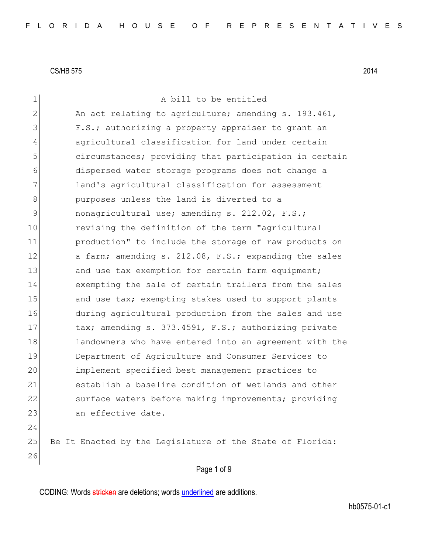| $\mathbf 1$ | A bill to be entitled                                     |
|-------------|-----------------------------------------------------------|
| 2           | An act relating to agriculture; amending s. 193.461,      |
| 3           | F.S.; authorizing a property appraiser to grant an        |
| 4           | agricultural classification for land under certain        |
| 5           | circumstances; providing that participation in certain    |
| 6           | dispersed water storage programs does not change a        |
| 7           | land's agricultural classification for assessment         |
| 8           | purposes unless the land is diverted to a                 |
| 9           | nonagricultural use; amending s. 212.02, F.S.;            |
| 10          | revising the definition of the term "agricultural         |
| 11          | production" to include the storage of raw products on     |
| 12          | a farm; amending s. 212.08, F.S.; expanding the sales     |
| 13          | and use tax exemption for certain farm equipment;         |
| 14          | exempting the sale of certain trailers from the sales     |
| 15          | and use tax; exempting stakes used to support plants      |
| 16          | during agricultural production from the sales and use     |
| 17          | tax; amending s. 373.4591, F.S.; authorizing private      |
| 18          | landowners who have entered into an agreement with the    |
| 19          | Department of Agriculture and Consumer Services to        |
| 20          | implement specified best management practices to          |
| 21          | establish a baseline condition of wetlands and other      |
| 22          | surface waters before making improvements; providing      |
| 23          | an effective date.                                        |
| 24          |                                                           |
| 25          | Be It Enacted by the Legislature of the State of Florida: |
| 26          |                                                           |
|             | Page 1 of 9                                               |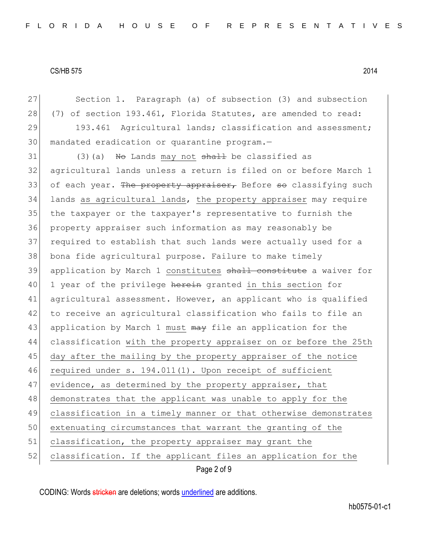27 Section 1. Paragraph (a) of subsection (3) and subsection 28 (7) of section 193.461, Florida Statutes, are amended to read: 29 193.461 Agricultural lands; classification and assessment; 30 mandated eradication or quarantine program.-

Page 2 of 9 (3)(a) <del>No</del> Lands may not <del>shall</del> be classified as agricultural lands unless a return is filed on or before March 1 33 of each year. The property appraiser, Before so classifying such lands as agricultural lands, the property appraiser may require the taxpayer or the taxpayer's representative to furnish the property appraiser such information as may reasonably be required to establish that such lands were actually used for a bona fide agricultural purpose. Failure to make timely 39 application by March 1 constitutes shall constitute a waiver for 40 1 year of the privilege herein granted in this section for agricultural assessment. However, an applicant who is qualified to receive an agricultural classification who fails to file an 43 application by March 1 must may file an application for the classification with the property appraiser on or before the 25th day after the mailing by the property appraiser of the notice required under s. 194.011(1). Upon receipt of sufficient 47 evidence, as determined by the property appraiser, that 48 demonstrates that the applicant was unable to apply for the classification in a timely manner or that otherwise demonstrates extenuating circumstances that warrant the granting of the 51 classification, the property appraiser may grant the 52 classification. If the applicant files an application for the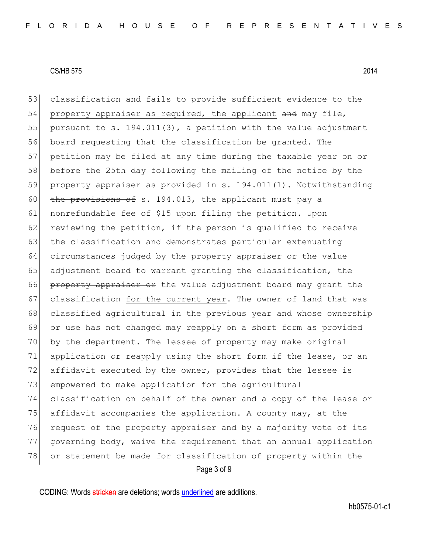Page 3 of 9 53 classification and fails to provide sufficient evidence to the 54 property appraiser as required, the applicant and may file, 55 pursuant to s. 194.011(3), a petition with the value adjustment 56 board requesting that the classification be granted. The 57 petition may be filed at any time during the taxable year on or 58 before the 25th day following the mailing of the notice by the 59 property appraiser as provided in s. 194.011(1). Notwithstanding 60 the provisions of s. 194.013, the applicant must pay a 61 nonrefundable fee of \$15 upon filing the petition. Upon 62 reviewing the petition, if the person is qualified to receive 63 the classification and demonstrates particular extenuating  $64$  circumstances judged by the  $\rho$  property appraiser or the value 65 adjustment board to warrant granting the classification,  $the$ 66 property appraiser or the value adjustment board may grant the 67 classification for the current year. The owner of land that was 68 classified agricultural in the previous year and whose ownership 69 or use has not changed may reapply on a short form as provided 70 by the department. The lessee of property may make original 71 application or reapply using the short form if the lease, or an 72 affidavit executed by the owner, provides that the lessee is 73 empowered to make application for the agricultural 74 classification on behalf of the owner and a copy of the lease or 75 affidavit accompanies the application. A county may, at the 76 request of the property appraiser and by a majority vote of its 77 governing body, waive the requirement that an annual application 78 or statement be made for classification of property within the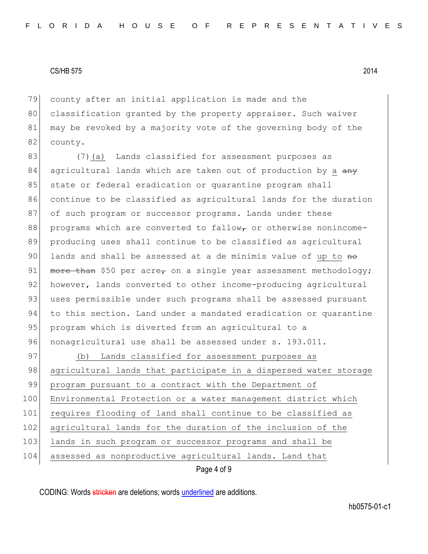79 county after an initial application is made and the 80 classification granted by the property appraiser. Such waiver 81 may be revoked by a majority vote of the governing body of the 82 county.

83 (7)(a) Lands classified for assessment purposes as 84 agricultural lands which are taken out of production by a any 85 state or federal eradication or quarantine program shall 86 continue to be classified as agricultural lands for the duration 87 of such program or successor programs. Lands under these 88 programs which are converted to fallow<sub>r</sub> or otherwise nonincome-89 producing uses shall continue to be classified as agricultural 90 lands and shall be assessed at a de minimis value of up to no 91 more than \$50 per acre, on a single year assessment methodology; 92 however, lands converted to other income-producing agricultural 93 uses permissible under such programs shall be assessed pursuant 94 to this section. Land under a mandated eradication or quarantine 95 program which is diverted from an agricultural to a 96 nonagricultural use shall be assessed under s. 193.011.

Page 4 of 9 97 (b) Lands classified for assessment purposes as 98 agricultural lands that participate in a dispersed water storage 99 program pursuant to a contract with the Department of 100 Environmental Protection or a water management district which 101 requires flooding of land shall continue to be classified as 102 agricultural lands for the duration of the inclusion of the 103 lands in such program or successor programs and shall be 104 assessed as nonproductive agricultural lands. Land that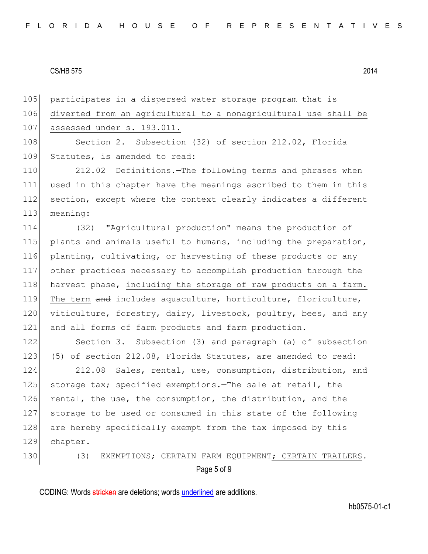Page 5 of 9 105 participates in a dispersed water storage program that is 106 diverted from an agricultural to a nonagricultural use shall be 107 assessed under s. 193.011. 108 Section 2. Subsection (32) of section 212.02, Florida 109 Statutes, is amended to read: 110 212.02 Definitions.—The following terms and phrases when 111 used in this chapter have the meanings ascribed to them in this 112 section, except where the context clearly indicates a different 113 meaning: 114 (32) "Agricultural production" means the production of 115 plants and animals useful to humans, including the preparation, 116 planting, cultivating, or harvesting of these products or any 117 other practices necessary to accomplish production through the 118 harvest phase, including the storage of raw products on a farm. 119 The term and includes aquaculture, horticulture, floriculture, 120 viticulture, forestry, dairy, livestock, poultry, bees, and any 121 and all forms of farm products and farm production. 122 Section 3. Subsection (3) and paragraph (a) of subsection 123 (5) of section 212.08, Florida Statutes, are amended to read: 124 212.08 Sales, rental, use, consumption, distribution, and 125 storage tax; specified exemptions.—The sale at retail, the 126 rental, the use, the consumption, the distribution, and the 127 storage to be used or consumed in this state of the following 128 are hereby specifically exempt from the tax imposed by this 129 chapter. 130 (3) EXEMPTIONS; CERTAIN FARM EQUIPMENT; CERTAIN TRAILERS.-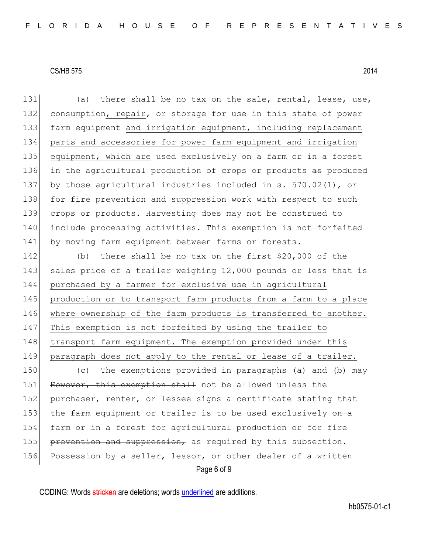131 (a) There shall be no tax on the sale, rental, lease, use, 132 consumption, repair, or storage for use in this state of power 133 farm equipment and irrigation equipment, including replacement 134 parts and accessories for power farm equipment and irrigation 135 equipment, which are used exclusively on a farm or in a forest 136 in the agricultural production of crops or products as produced 137 by those agricultural industries included in s. 570.02(1), or 138 for fire prevention and suppression work with respect to such 139 crops or products. Harvesting does may not be construed to 140 include processing activities. This exemption is not forfeited 141 by moving farm equipment between farms or forests.

142 (b) There shall be no tax on the first \$20,000 of the 143 sales price of a trailer weighing 12,000 pounds or less that is 144 purchased by a farmer for exclusive use in agricultural 145 production or to transport farm products from a farm to a place 146 where ownership of the farm products is transferred to another. 147 This exemption is not forfeited by using the trailer to 148 transport farm equipment. The exemption provided under this 149 paragraph does not apply to the rental or lease of a trailer. 150 (c) The exemptions provided in paragraphs (a) and (b) may 151 However, this exemption shall not be allowed unless the 152 purchaser, renter, or lessee signs a certificate stating that 153 the farm equipment or trailer is to be used exclusively on a

155 prevention and suppression, as required by this subsection. 156 Possession by a seller, lessor, or other dealer of a written

154 farm or in a forest for agricultural production or for fire

Page 6 of 9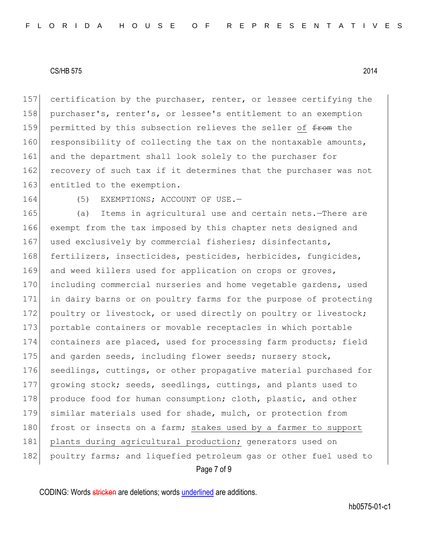157 certification by the purchaser, renter, or lessee certifying the 158 purchaser's, renter's, or lessee's entitlement to an exemption 159 permitted by this subsection relieves the seller of from the 160 responsibility of collecting the tax on the nontaxable amounts, 161 and the department shall look solely to the purchaser for 162 recovery of such tax if it determines that the purchaser was not 163 entitled to the exemption.

164 (5) EXEMPTIONS; ACCOUNT OF USE.

Page 7 of 9 165 (a) Items in agricultural use and certain nets.—There are 166 exempt from the tax imposed by this chapter nets designed and 167 used exclusively by commercial fisheries; disinfectants, 168 fertilizers, insecticides, pesticides, herbicides, fungicides, 169 and weed killers used for application on crops or groves, 170 including commercial nurseries and home vegetable gardens, used 171 in dairy barns or on poultry farms for the purpose of protecting 172 poultry or livestock, or used directly on poultry or livestock; 173 portable containers or movable receptacles in which portable 174 containers are placed, used for processing farm products; field 175 and garden seeds, including flower seeds; nursery stock, 176 seedlings, cuttings, or other propagative material purchased for 177 growing stock; seeds, seedlings, cuttings, and plants used to 178 produce food for human consumption; cloth, plastic, and other 179 similar materials used for shade, mulch, or protection from 180 frost or insects on a farm; stakes used by a farmer to support 181 plants during agricultural production; generators used on 182 poultry farms; and liquefied petroleum gas or other fuel used to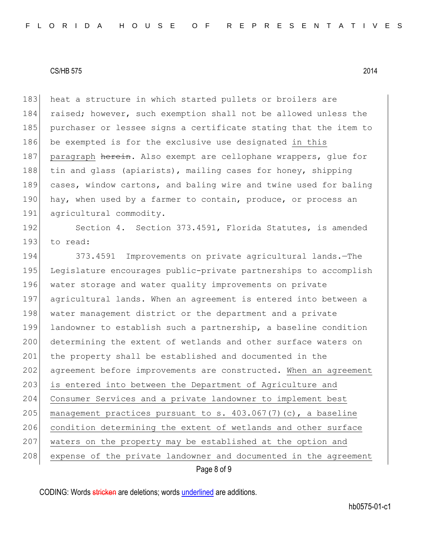183 heat a structure in which started pullets or broilers are 184 raised; however, such exemption shall not be allowed unless the 185 purchaser or lessee signs a certificate stating that the item to 186 be exempted is for the exclusive use designated in this 187 paragraph herein. Also exempt are cellophane wrappers, glue for 188 tin and glass (apiarists), mailing cases for honey, shipping 189 cases, window cartons, and baling wire and twine used for baling 190 hay, when used by a farmer to contain, produce, or process an 191 agricultural commodity.

192 Section 4. Section 373.4591, Florida Statutes, is amended 193 to read:

Page 8 of 9 194 373.4591 Improvements on private agricultural lands.—The 195 Legislature encourages public-private partnerships to accomplish 196 water storage and water quality improvements on private 197 agricultural lands. When an agreement is entered into between a 198 water management district or the department and a private 199 landowner to establish such a partnership, a baseline condition 200 determining the extent of wetlands and other surface waters on 201 the property shall be established and documented in the 202 agreement before improvements are constructed. When an agreement 203 is entered into between the Department of Agriculture and 204 Consumer Services and a private landowner to implement best 205 management practices pursuant to s.  $403.067(7)(c)$ , a baseline 206 condition determining the extent of wetlands and other surface 207 waters on the property may be established at the option and 208 expense of the private landowner and documented in the agreement